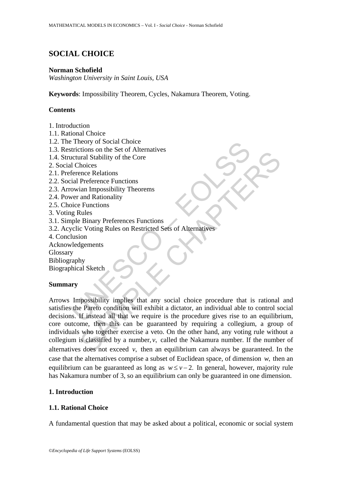# **SOCIAL CHOICE**

## **Norman Schofield**

*Washington University in Saint Louis, USA*

**Keywords**: Impossibility Theorem, Cycles, Nakamura Theorem, Voting.

# **Contents**

- 1. Introduction
- 1.1. Rational Choice
- 1.2. The Theory of Social Choice
- 1.3. Restrictions on the Set of Alternatives
- 1.4. Structural Stability of the Core
- 2. Social Choices
- 2.1. Preference Relations
- 2.2. Social Preference Functions
- 2.3. Arrowian Impossibility Theorems
- 2.4. Power and Rationality
- 2.5. Choice Functions
- 3. Voting Rules
- 3.1. Simple Binary Preferences Functions
- 3.2. Acyclic Voting Rules on Restricted Sets of Alternatives
- 4. Conclusion
- Acknowledgements
- Glossary

Bibliography

Biographical Sketch

# **Summary**

Finditions on the Set of Alternatives<br>
itrictions on the Set of Alternatives<br>
acctural Stability of the Core<br>
acctural Stability of the Core<br>
acctural Stability of the Core<br>
ference Relations<br>
spin Preference Functions<br>
pi Finder and Stability of the Core<br>
Tral Stability of the Core<br>
Increase Relations<br>
Perfectence Functions<br>
and Rationality<br>
Rules<br>
Rinary Preferences Functions<br>
CVoting Rules<br>
Rules<br>
Blinary Preferences Functions<br>
CVoting Ru Arrows Impossibility implies that any social choice procedure that is rational and satisfies the Pareto condition will exhibit a dictator, an individual able to control social decisions. If instead all that we require is the procedure gives rise to an equilibrium, core outcome, then this can be guaranteed by requiring a collegium, a group of individuals who together exercise a veto. On the other hand, any voting rule without a collegium is classified by a number, *v*, called the Nakamura number. If the number of alternatives does not exceed  $v$ , then an equilibrium can always be guaranteed. In the case that the alternatives comprise a subset of Euclidean space, of dimension *w*, then an equilibrium can be guaranteed as long as  $w \le v - 2$ . In general, however, majority rule has Nakamura number of 3, so an equilibrium can only be guaranteed in one dimension.

# **1. Introduction**

# **1.1. Rational Choice**

A fundamental question that may be asked about a political, economic or social system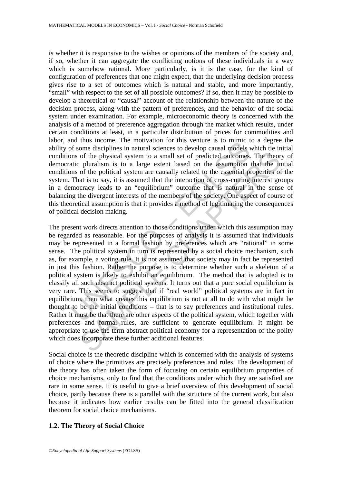is whether it is responsive to the wishes or opinions of the members of the society and, if so, whether it can aggregate the conflicting notions of these individuals in a way which is somehow rational. More particularly, is it is the case, for the kind of configuration of preferences that one might expect, that the underlying decision process gives rise to a set of outcomes which is natural and stable, and more importantly, "small" with respect to the set of all possible outcomes? If so, then it may be possible to develop a theoretical or "causal" account of the relationship between the nature of the decision process, along with the pattern of preferences, and the behavior of the social system under examination. For example, microeconomic theory is concerned with the analysis of a method of preference aggregation through the market which results, under certain conditions at least, in a particular distribution of prices for commodities and labor, and thus income. The motivation for this venture is to mimic to a degree the ability of some disciplines in natural sciences to develop causal models which tie initial conditions of the physical system to a small set of predicted outcomes. The theory of democratic pluralism is to a large extent based on the assumption that the initial conditions of the political system are causally related to the essential properties of the system. That is to say, it is assumed that the interaction of cross-cutting interest groups in a democracy leads to an "equilibrium" outcome that is natural in the sense of balancing the divergent interests of the members of the society. One aspect of course of this theoretical assumption is that it provides a method of legitimating the consequences of political decision making.

In the mass income. The motivation for this venture is to mimit the motion, the motion of some disciplines in natural sciences to develop causal models ons of the physical system to a small set of predicted outcomes. Attic of the physical system to a small set of predicted outcomes. The theor<br>of the physical system to a small set of predicted outcomes. The theor<br>of the political system are causally related to the essential properties of<br>at i The present work directs attention to those conditions under which this assumption may be regarded as reasonable. For the purposes of analysis it is assumed that individuals may be represented in a formal fashion by preferences which are "rational" in some sense. The political system in turn is represented by a social choice mechanism, such as, for example, a voting rule. It is not assumed that society may in fact be represented in just this fashion. Rather the purpose is to determine whether such a skeleton of a political system is likely to exhibit an equilibrium. The method that is adopted is to classify all such abstract political systems. It turns out that a pure social equilibrium is very rare. This seems to suggest that if "real world" political systems are in fact in equilibrium, then what creates this equilibrium is not at all to do with what might be thought to be the initial conditions – that is to say preferences and institutional rules. Rather it must be that there are other aspects of the political system, which together with preferences and formal rules, are sufficient to generate equilibrium. It might be appropriate to use the term abstract political economy for a representation of the polity which does incorporate these further additional features.

Social choice is the theoretic discipline which is concerned with the analysis of systems of choice where the primitives are precisely preferences and rules. The development of the theory has often taken the form of focusing on certain equilibrium properties of choice mechanisms, only to find that the conditions under which they are satisfied are rare in some sense. It is useful to give a brief overview of this development of social choice, partly because there is a parallel with the structure of the current work, but also because it indicates how earlier results can be fitted into the general classification theorem for social choice mechanisms.

### **1.2. The Theory of Social Choice**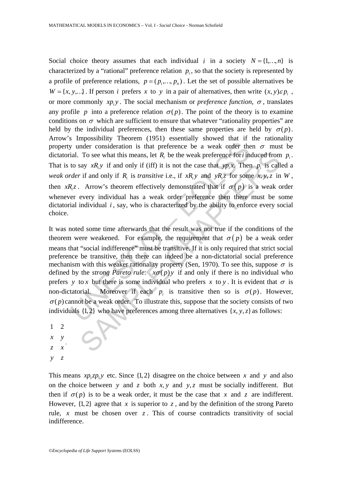Social choice theory assumes that each individual *i* in a society  $N = \{1, ..., n\}$  is characterized by a "rational" preference relation  $p_i$ , so that the society is represented by a profile of preference relations,  $p = (p_1, ..., p_n)$ . Let the set of possible alternatives be  $W = \{x, y, ...\}$ . If person *i* prefers *x* to *y* in a pair of alternatives, then write  $(x, y)\varepsilon p$ , or more commonly  $xp_iy$ . The social mechanism or *preference function*,  $\sigma$ , translates any profile *p* into a preference relation  $\sigma(p)$ . The point of the theory is to examine conditions on  $\sigma$  which are sufficient to ensure that whatever "rationality properties" are held by the individual preferences, then these same properties are held by  $\sigma(p)$ . Arrow's Impossibility Theorem (1951) essentially showed that if the rationality property under consideration is that preference be a weak order then  $\sigma$  must be dictatorial. To see what this means, let  $R_i$  be the weak preference for *i* induced from  $p_i$ . That is to say  $xR_i y$  if and only if (iff) it is not the case that  $y p_i x$ . Then  $p_i$  is called a *weak order* if and only if *R<sub>i</sub>* is *transitive* i.e., if *xR<sub>i</sub>y* and *yR<sub>i</sub>z* for some *x, y, z* in *W*, then *xR<sub>i</sub>z*. Arrow's theorem effectively demonstrated that if  $\sigma(p)$  is a weak order whenever every individual has a weak order preference then there must be some dictatorial individual *i*, say, who is characterized by the ability to enforce every social choice.

y under consideration is that preference be a weak order the<br>ial. To see what this means, let  $R_i$  be the weak preference for *i* in<br>to say  $xR_i y$  if and only if (iff) it is not the case that  $yp_i x$ . Ther<br>*der* if and only To see what this means, let  $R_i$  be the weak preference for induced from<br>say  $xR_i y$  if and only if (iff) it is not the case that  $yp_ix$ . Then  $p_i$  is call<br>if and only if  $R_i$  is *transitive* i.e., if  $xR_i y$  and  $yR_i z$  for s It was noted some time afterwards that the result was not true if the conditions of the theorem were weakened. For example, the requirement that  $\sigma(p)$  be a weak order means that "social indifference" must be transitive. If it is only required that strict social preference be transitive, then there can indeed be a non-dictatorial social preference mechanism with this weaker rationality property (Sen, 1970). To see this, suppose  $\sigma$  is defined by the *strong Pareto rule*:  $x\sigma(p)y$  if and only if there is no individual who prefers *y* to *x* but there is some individual who prefers *x* to *y*. It is evident that  $\sigma$  is non-dictatorial. Moreover if each  $p_i$  is transitive then so is  $\sigma(p)$ . However,  $\sigma(p)$  cannot be a weak order. To illustrate this, suppose that the society consists of two individuals  $\{1, 2\}$  who have preferences among three alternatives  $\{x, y, z\}$  as follows:

1 2 *x y z x y z* .

This means  $xp_1zp_1y$  etc. Since  $\{1, 2\}$  disagree on the choice between x and y and also on the choice between *y* and *z* both *x*, *y* and *y*, *z* must be socially indifferent. But then if  $\sigma(p)$  is to be a weak order, it must be the case that *x* and *z* are indifferent. However,  $\{1, 2\}$  agree that *x* is superior to *z*, and by the definition of the strong Pareto rule,  $x$  must be chosen over  $z$ . This of course contradicts transitivity of social indifference.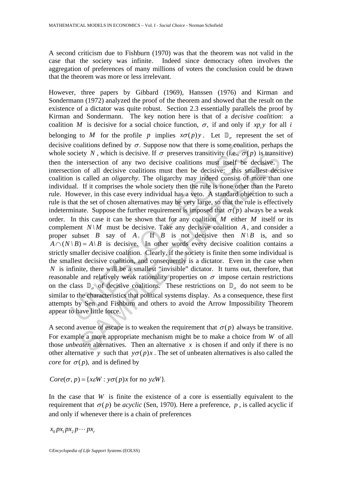A second criticism due to Fishburn (1970) was that the theorem was not valid in the case that the society was infinite. Indeed since democracy often involves the aggregation of preferences of many millions of voters the conclusion could be drawn that the theorem was more or less irrelevant.

e coalitions defined by  $\sigma$ . Suppose now that there is some coalition ciety N, which is decisive. If  $\sigma$  preserves transitivity (i.e.,  $\sigma(t)$  e intersection of any two decisive coalitions must itself be tion of all deci ety N, which is decisive. If  $\sigma$  preserves transitivity (i.e.,  $\sigma(p)$  is transit<br>theresection of any two decisive coalitions must tiself be decisive.<br>
1 of all decisive coalitions must then be decisive: this smallest dec However, three papers by Gibbard (1969), Hanssen (1976) and Kirman and Sondermann (1972) analyzed the proof of the theorem and showed that the result on the existence of a dictator was quite robust. Section 2.3 essentially parallels the proof by Kirman and Sondermann. The key notion here is that of a *decisive coalition*: a coalition *M* is decisive for a social choice function,  $\sigma$ , if and only if *xp*, *y* for all *i* belonging to *M* for the profile *p* implies  $x\sigma(p)y$ . Let  $\mathbb{D}_{q}$  represent the set of decisive coalitions defined by  $\sigma$ . Suppose now that there is some coalition, perhaps the whole society *N*, which is decisive. If  $\sigma$  preserves transitivity (i.e.,  $\sigma(p)$  is transitive) then the intersection of any two decisive coalitions must itself be decisive. The intersection of all decisive coalitions must then be decisive: this smallest decisive coalition is called an *oligarchy*. The oligarchy may indeed consist of more than one individual. If it comprises the whole society then the rule is none other than the Pareto rule. However, in this case every individual has a veto. A standard objection to such a rule is that the set of chosen alternatives may be very large, so that the rule is effectively indeterminate. Suppose the further requirement is imposed that  $\sigma(p)$  always be a weak order. In this case it can be shown that for any coalition *M* either *M* itself or its complement  $N\backslash M$  must be decisive. Take any decisive coalition *A*, and consider a proper subset *B* say of *A*. If *B* is not decisive then  $N\setminus B$  is, and so  $A \cap (N \setminus B) = A \setminus B$  is decisive. In other words every decisive coalition contains a strictly smaller decisive coalition. Clearly, if the society is finite then some individual is the smallest decisive coalition, and consequently is a dictator. Even in the case when *N* is infinite, there will be a smallest "invisible" dictator. It turns out, therefore, that reasonable and relatively weak rationality properties on  $\sigma$  impose certain restrictions on the class  $\mathbb{D}_{\sigma}$  of decisive coalitions. These restrictions on  $\mathbb{D}_{\sigma}$  do not seem to be similar to the characteristics that political systems display. As a consequence, these first attempts by Sen and Fishburn and others to avoid the Arrow Impossibility Theorem appear to have little force.

A second avenue of escape is to weaken the requirement that  $\sigma(p)$  always be transitive. For example a more appropriate mechanism might be to make a choice from *W* of all those *unbeaten* alternatives. Then an alternative  $x$  is chosen if and only if there is no other alternative *y* such that  $y\sigma(p)x$ . The set of unbeaten alternatives is also called the *core* for  $\sigma(p)$ , and is defined by

 $Core(\sigma, p) = \{x \in W : y \sigma(p)x$  for no  $y \in W\}$ .

In the case that *W* is finite the existence of a core is essentially equivalent to the requirement that  $\sigma(p)$  be *acyclic* (Sen, 1970). Here a preference, *p*, is called acyclic if and only if whenever there is a chain of preferences

 $x_0 px_1 px_2 p \cdots px_r$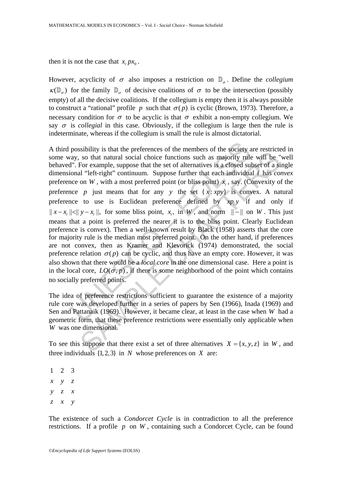then it is not the case that  $x_p p x_0$ .

However, acyclicity of  $\sigma$  also imposes a restriction on  $\mathbb{D}_{\sigma}$ . Define the *collegium*  $\kappa(\mathbb{D}_{\tau})$  for the family  $\mathbb{D}_{\tau}$  of decisive coalitions of  $\sigma$  to be the intersection (possibly empty) of all the decisive coalitions. If the collegium is empty then it is always possible to construct a "rational" profile *p* such that  $\sigma(p)$  is cyclic (Brown, 1973). Therefore, a necessary condition for  $\sigma$  to be acyclic is that  $\sigma$  exhibit a non-empty collegium. We say  $\sigma$  is *collegial* in this case. Obviously, if the collegium is large then the rule is indeterminate, whereas if the collegium is small the rule is almost dictatorial.

possibility is that the preferences of the members of the society and and and social choice functions such as majority rules. The FI'. For example, suppose that the set of alternatives is a closed su onal "left-right" con is an an encretation of the method of the encretions of the state per extracted of the encretions of the difference of the encretions we have the set of alternatives is a closed subset of a singletic on W, with a most pre A third possibility is that the preferences of the members of the society are restricted in some way, so that natural social choice functions such as majority rule will be "well behaved". For example, suppose that the set of alternatives is a closed subset of a single dimensional "left-right" continuum. Suppose further that each individual *i* has *convex* preference on *W*, with a most preferred point (or bliss point)  $\hat{x}$ , say. (Convexity of the preference *p* just means that for any *y* the set  $\{x : xpy\}$  is convex. A natural preference to use is Euclidean preference defined by  $xp, y$  if and only if  $||x-x_i|| \le ||y-x_i||$ , for some bliss point, *x<sub>i</sub>*, in *W*, and norm  $||-||$  on *W*. This just means that a point is preferred the nearer it is to the bliss point. Clearly Euclidean preference is convex). Then a well-known result by Black (1958) asserts that the core for majority rule is the median most preferred point. On the other hand, if preferences are not convex, then as Kramer and Klevorick (1974) demonstrated, the social preference relation  $\sigma(p)$  can be cyclic, and thus have an empty core. However, it was also shown that there would be a *local core* in the one dimensional case. Here a point is in the local core,  $LO(\sigma, p)$ , if there is some neighborhood of the point which contains no socially preferred points.

The idea of preference restrictions sufficient to guarantee the existence of a majority rule core was developed further in a series of papers by Sen (1966), Inada (1969) and Sen and Pattanaik (1969). However, it became clear, at least in the case when *W* had a geometric form, that these preference restrictions were essentially only applicable when *W* was one dimensional.

To see this suppose that there exist a set of three alternatives  $X = \{x, y, z\}$  in *W*, and three individuals  $\{1, 2, 3\}$  in *N* whose preferences on *X* are:

123 *x y z y z x z x y* 

The existence of such a *Condorcet Cycle* is in contradiction to all the preference restrictions. If a profile *p* on *W* , containing such a Condorcet Cycle, can be found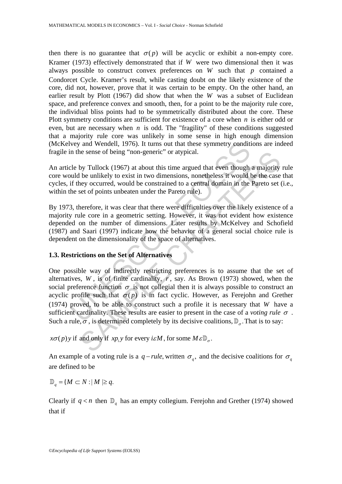then there is no guarantee that  $\sigma(p)$  will be acyclic or exhibit a non-empty core. Kramer (1973) effectively demonstrated that if *W* were two dimensional then it was always possible to construct convex preferences on *W* such that *p* contained a Condorcet Cycle. Kramer's result, while casting doubt on the likely existence of the core, did not, however, prove that it was certain to be empty. On the other hand, an earlier result by Plott (1967) did show that when the *W* was a subset of Euclidean space, and preference convex and smooth, then, for a point to be the majority rule core, the individual bliss points had to be symmetrically distributed about the core. These Plott symmetry conditions are sufficient for existence of a core when *n* is either odd or even, but are necessary when *n* is odd. The "fragility" of these conditions suggested that a majority rule core was unlikely in some sense in high enough dimension (McKelvey and Wendell, 1976). It turns out that these symmetry conditions are indeed fragile in the sense of being "non-generic" or atypical.

An article by Tullock (1967) at about this time argued that even though a majority rule core would be unlikely to exist in two dimensions, nonetheless it would be the case that cycles, if they occurred, would be constrained to a central domain in the Pareto set (i.e., within the set of points unbeaten under the Pareto rule).

By 1973, therefore, it was clear that there were difficulties over the likely existence of a majority rule core in a geometric setting. However, it was not evident how existence depended on the number of dimensions. Later results by McKelvey and Schofield (1987) and Saari (1997) indicate how the behavior of a general social choice rule is dependent on the dimensionality of the space of alternatives.

# **1.3. Restrictions on the Set of Alternatives**

vey and Wendell, 1976). It turns out that these symmetry condition<br>in the sense of being "non-generic" or atypical.<br>Le by Tullock (1967) at about this time argued that even though<br>uld be unlikely to exist in two dimension by Tullock (1967) at about this time argued that even though a majority<br>by Tullock (1967) at about this time argued that even though a majority<br>be unlikely to exist in two dimensions, nonetheless it would be the case<br>ever One possible way of indirectly restricting preferences is to assume that the set of alternatives,  $W$ , is of finite cardinality,  $r$ , say. As Brown (1973) showed, when the social preference function  $\sigma$  is not collegial then it is always possible to construct an acyclic profile such that  $\sigma(p)$  is in fact cyclic. However, as Ferejohn and Grether (1974) proved, to be able to construct such a profile it is necessary that *W* have a sufficient cardinality. These results are easier to present in the case of a *voting rule*  $\sigma$ . Such a rule,  $\sigma$ , is determined completely by its decisive coalitions,  $\mathbb{D}_{\sigma}$ . That is to say:

 $x\sigma(p)$  if and only if  $xp_i$  *y* for every *i* $\varepsilon M$ , for some  $M \varepsilon \mathbb{D}_{q}$ .

An example of a voting rule is a  $q$  – *rule*, written  $\sigma_q$ , and the decisive coalitions for  $\sigma_q$ are defined to be

$$
\mathbb{D}_{q} = \{M \subset N : |M| \geq q.
$$

Clearly if  $q < n$  then  $\mathbb{D}_q$  has an empty collegium. Ferejohn and Grether (1974) showed that if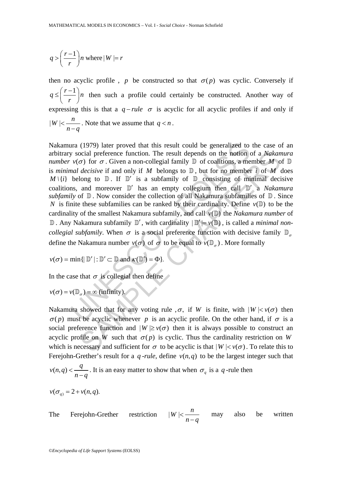$$
q > \left(\frac{r-1}{r}\right) n \text{ where } |W| = r
$$

then no acyclic profile, *p* be constructed so that  $\sigma(p)$  was cyclic. Conversely if  $q \leq \left(\frac{r-1}{r}\right)$  $\leq \left(\frac{r-1}{r}\right)n$  then such a profile could certainly be constructed. Another way of expressing this is that a  $q$ -rule  $\sigma$  is acyclic for all acyclic profiles if and only if  $W \mid < \frac{n}{2}$  $|W| < \frac{n}{n-q}$ . Note that we assume that  $q < n$ .

ara (1979) later proved that this result could be generalized to<br>y social preference function. The result depends on the notion  $v(\sigma)$  for  $\sigma$ . Given a non-collegial family  $\mathbb{D}$  of coalitions, a me<br>*nal decisive* if ocial preference function. The result depends on the notion of a *Nakam*  $\sigma$ ) for  $\sigma$ . Given a non-collegial family  $\mathbb{D}$  of coalitions, a member *M* of  $decisive$  if and only if *M* belongs to  $\mathbb{D}$ , but for no member Nakamura (1979) later proved that this result could be generalized to the case of an arbitrary social preference function. The result depends on the notion of a *Nakamura number*  $v(\sigma)$  for  $\sigma$ . Given a non-collegial family  $\mathbb D$  of coalitions, a member *M* of  $\mathbb D$ is *minimal decisive* if and only if *M* belongs to D , but for no member *i* of *M* does  $M \setminus \{i\}$  belong to  $\mathbb D$ . If  $\mathbb D'$  is a subfamily of  $\mathbb D$  consisting of minimal decisive coalitions, and moreover D′ has an empty collegium then call D′ a *Nakamura subfamily* of  $\mathbb D$ . Now consider the collection of all Nakamura subfamilies of  $\mathbb D$ . Since *N* is finite these subfamilies can be ranked by their cardinality. Define  $v(\mathbb{D})$  to be the cardinality of the smallest Nakamura subfamily, and call  $v(\mathbb{D})$  the *Nakamura number* of  $\mathbb D$ . Any Nakamura subfamily  $\mathbb D'$ , with cardinality  $|\mathbb D'| = \nu(\mathbb D)$ , is called a *minimal noncollegial subfamily*. When  $\sigma$  is a social preference function with decisive family  $\mathbb{D}_{\sigma}$ define the Nakamura number  $v(\sigma)$  of  $\sigma$  to be equal to  $v(\mathbb{D}_{\sigma})$ . More formally

$$
v(\sigma) = \min\{|\mathbb{D}'| : \mathbb{D}' \subset \mathbb{D} \text{ and } \kappa(\mathbb{D}') = \Phi\}.
$$

In the case that  $\sigma$  is collegial then define

$$
v(\sigma) = v(\mathbb{D}_{\sigma}) = \infty
$$
 (infinity).

Nakamura showed that for any voting rule  $,\sigma$ , if *W* is finite, with  $|W| < v(\sigma)$  then  $\sigma(p)$  must be acyclic whenever *p* is an acyclic profile. On the other hand, if  $\sigma$  is a social preference function and  $|W| \ge v(\sigma)$  then it is always possible to construct an acyclic profile on *W* such that  $\sigma(p)$  is cyclic. Thus the cardinality restriction on *W* which is necessary and sufficient for  $\sigma$  to be acyclic is that  $|W| < v(\sigma)$ . To relate this to Ferejohn-Grether's result for a *q*-*rule*, define  $v(n, q)$  to be the largest integer such that

$$
v(n,q) < \frac{q}{n-q}
$$
. It is an easy matter to show that when  $\sigma_q$  is a *q*-rule then

$$
v(\sigma_q) = 2 + v(n,q).
$$

The Freigion-Grether restriction 
$$
|W| < \frac{n}{n-q}
$$
 may also be written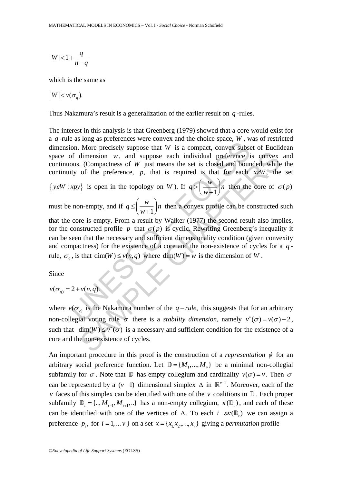$$
|W| < 1 + \frac{q}{n-q}
$$

which is the same as

$$
|W| < v(\sigma_q).
$$

Thus Nakamura's result is a generalization of the earlier result on *q* -rules.

The interest in this analysis is that Greenberg (1979) showed that a core would exist for a *q* -rule as long as preferences were convex and the choice space, *W* , was of restricted dimension. More precisely suppose that *W* is a compact, convex subset of Euclidean space of dimension *w*, and suppose each individual preference is convex and continuous. (Compactness of *W* just means the set is closed and bounded, while the continuity of the preference, *p*, that is required is that for each *x*ε*W*, the set

{
$$
y \in W : xpy
$$
} is open in the topology on W). If  $q > \left(\frac{w}{w+1}\right)n$  then the core of  $\sigma(p)$ 

must be non-empty, and if  $q \leq \left(\frac{w}{w+1}\right)n$  $\leq \left(\frac{w}{w+1}\right)n$  then a convex profile can be constructed such

on. More precisely suppose that W is a compact, convex subset<br>on. More precisely suppose that W is a compact, convex subset<br>of dimension w, and suppose each individual preference ious. (Compactness of W just means the set dimension w, and suppose each individual preference is convex<br>
. (Compactness of W just means the set is closed and bounded, while<br>
of the preference, p, that is required is that for each *xeW*, the<br>  $v$ } is open in the t that the core is empty. From a result by Walker (1977) the second result also implies, for the constructed profile *p* that  $\sigma(p)$  is cyclic. Rewriting Greenberg's inequality it can be seen that the necessary and sufficient dimensionality condition (given convexity and compactness) for the existence of a core and the non-existence of cycles for a *q* rule,  $\sigma_a$ , is that dim(*W*)  $\leq v(n,q)$  where dim(*W*) = *w* is the dimension of *W*.

Since

 $v(\sigma_q) = 2 + v(n,q).$ 

where  $v(\sigma_q)$  is the Nakamura number of the  $q$  – *rule*, this suggests that for an arbitrary non-collegial voting rule  $\sigma$  there is a *stability dimension*, namely  $v^*(\sigma) = v(\sigma) - 2$ , such that  $\dim(W) \le v^*(\sigma)$  is a necessary and sufficient condition for the existence of a core and the non-existence of cycles.

An important procedure in this proof is the construction of a *representation*  $\phi$  for an arbitrary social preference function. Let  $\mathbb{D} = \{M_1, ..., M_n\}$  be a minimal non-collegial subfamily for  $\sigma$ . Note that D has empty collegium and cardinality  $v(\sigma) = v$ . Then  $\sigma$ can be represented by a ( $v - 1$ ) dimensional simplex  $\Delta$  in  $\mathbb{R}^{v-1}$ . Moreover, each of the *v* faces of this simplex can be identified with one of the *v* coalitions in  $\mathbb{D}$ . Each proper subfamily  $\mathbb{D}_t = \{., M_{t-1}, M_{t+1},..\}$  has a non-empty collegium,  $\kappa(\mathbb{D}_t)$ , and each of these can be identified with one of the vertices of  $\Delta$ . To each *i*  $\epsilon \kappa(\mathbb{D})$ , we can assign a preference  $p_i$ , for  $i = 1,... v$  } on a set  $x = \{x_1, x_2, ..., x_v\}$  giving a *permutation* profile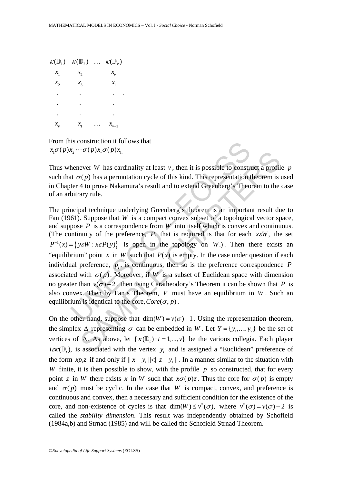| $K(\mathbb{D}^1)$ | $\kappa(\mathbb{D}_2)$ | . | $K(\mathbb{D}_{\nu})$ |
|-------------------|------------------------|---|-----------------------|
| $x_1$             | $x_{2}$                |   | $x_{\nu}$             |
| $x_{2}$           | $\mathcal{X}_3$        |   | $x_{1}$               |
| ٠                 | ٠                      |   |                       |
| ٠                 |                        |   |                       |
|                   |                        |   |                       |
| $x_{\nu}$         | $x_{1}$                |   | $x_{v-1}$             |

From this construction it follows that  $x_1 \sigma(p) x_2 \cdots \sigma(p) x_v \sigma(p) x_1$ 

Thus whenever *W* has cardinality at least *v*, then it is possible to construct a profile *p* such that  $\sigma(p)$  has a permutation cycle of this kind. This representation theorem is used in Chapter 4 to prove Nakamura's result and to extend Greenberg's Theorem to the case of an arbitrary rule.

as construction it follows that<br>  $x_2 \cdots \sigma(p)x_v \sigma(p)x_l$ <br>
henever *W* has cardinality at least *v*, then it is possible to construct  $\sigma(p)$  has a permutation cycle of this kind. This representation ther 4 to prove Nakamura's COUPLA,  $O(P)A_1$ .<br>
Ever W has cardinality at least v, then it is possible to construct a profil  $r(p)$  has a permutation cycle of this kind. This representation theorem is 4 to prove Nakamura's result and to extend Greenbe The principal technique underlying Greenberg's theorem is an important result due to Fan (1961). Suppose that *W* is a compact convex subset of a topological vector space, and suppose *P* is a correspondence from *W* into itself which is convex and continuous. (The continuity of the preference, *P*, that is required is that for each *x*ε*W*, the set  $P^{-1}(x) = \{ y \in W : x \in P(y) \}$  is open in the topology on *W*.). Then there exists an "equilibrium" point *x* in *W* such that  $P(x)$  is empty. In the case under question if each individual preference,  $p_i$ , is continuous, then so is the preference correspondence  $P$ associated with  $\sigma(p)$ . Moreover, if *W* is a subset of Euclidean space with dimension no greater than  $v(\sigma) - 2$ , then using Caratheodory's Theorem it can be shown that *P* is also convex. Then by Fan's Theorem, *P* must have an equilibrium in *W* . Such an equilibrium is identical to the core,  $Core(\sigma, p)$ .

On the other hand, suppose that  $\dim(W) = v(\sigma) - 1$ . Using the representation theorem, the simplex  $\Delta$  representing  $\sigma$  can be embedded in *W*. Let  $Y = \{y_1, ..., y_v\}$  be the set of vertices of  $\Delta$ . As above, let  $\{\kappa(\mathbb{D}_{t}) : t = 1, ..., v\}$  be the various collegia. Each player  $i\epsilon \kappa(\mathbb{D}_t)$ , is associated with the vertex *y*, and is assigned a "Euclidean" preference of the form  $xp_iz$  if and only if  $||x-y_i|| \le ||z-y_i||$ . In a manner similar to the situation with *W* finite, it is then possible to show, with the profile  $p$  so constructed, that for every point *z* in *W* there exists *x* in *W* such that  $x\sigma(p)z$ . Thus the core for  $\sigma(p)$  is empty and  $\sigma(p)$  must be cyclic. In the case that *W* is compact, convex, and preference is continuous and convex, then a necessary and sufficient condition for the existence of the core, and non-existence of cycles is that  $\dim(W) \le v^*(\sigma)$ , where  $v^*(\sigma) = v(\sigma) - 2$  is called the *stability dimension*. This result was independently obtained by Schofield (1984a,b) and Strnad (1985) and will be called the Schofield Strnad Theorem.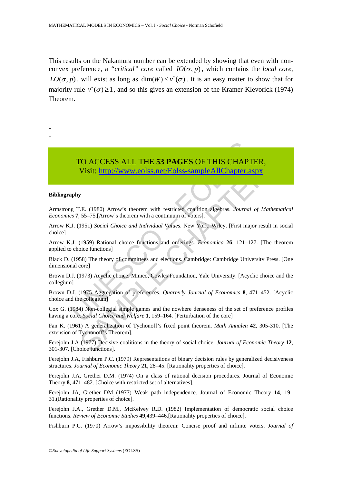This results on the Nakamura number can be extended by showing that even with nonconvex preference, a "*critical" core* called  $IO(\sigma, p)$ , which contains the *local core*,  $LO(\sigma, p)$ , will exist as long as dim(W)  $\leq v^*(\sigma)$ . It is an easy matter to show that for majority rule  $v^*(\sigma) \ge 1$ , and so this gives an extension of the Kramer-Klevorick (1974) Theorem.

-

- -
- -

# TO ACCESS ALL THE 53 PAGES OF THIS CHAPT<br>Visit: http://www.colss.net/Eolss-sampleAllChapter.a<br>paphy<br>g T.E. (1980) Arrow's theorem with restricted coalition algebras. Journal<br>cs 7, 55–75.[Arrow's theorem with a continuum of CO ACCESS ALL THE 53 PAGES OF THIS CHAPTER,<br>Visit:  $\frac{1}{111}$ //www.eolss.net/Eolss-sampleAllChapter.aspx<br>y<br>E. (1980) Arrow's theorem with restricted coaftion algebras. *Journal of Mathemo*.<br>55-75.[Arrow's theorem with a TO ACCESS ALL THE **53 PAGES** OF THIS CHAPTER, Visit: http://www.eolss.net/Eolss-sampleAllChapter.aspx

### **Bibliography**

Armstrong T.E. (1980) Arrow's theorem with restricted coalition algebras. *Journal of Mathematical Economics* **7**, 55–75.[Arrow's theorem with a continuum of voters].

Arrow K.J. (1951) *Social Choice and Individual Values*. New York: Wiley. [First major result in social choice]

Arrow K.J. (1959) Rational choice functions and orderings. *Economica* **26**, 121–127. [The theorem applied to choice functions]

Black D. (1958) The theory of committees and elections. Cambridge: Cambridge University Press. [One dimensional core]

Brown D.J. (1973) Acyclic choice. Mimeo, Cowles Foundation, Yale University. [Acyclic choice and the collegium]

Brown D.J. (1975 Aggregation of preferences. *Quarterly Journal of Economics* **8**, 471–452. [Acyclic choice and the collegium]

Cox G. (1984) Non-collegial simple games and the nowhere denseness of the set of preference profiles having a core. *Social Choice and Welfare* **1**, 159–164. [Perturbation of the core]

Fan K. (1961) A generalization of Tychonoff's fixed point theorem. *Math Annalen* **42**, 305-310. [The extension of Tychonoff's Theorem].

Ferejohn J.A (1977) Decisive coalitions in the theory of social choice. *Journal of Economic Theory* **12**, 301-307. [Choice functions].

Ferejohn J.A, Fishburn P.C. (1979) Representations of binary decision rules by generalized decisiveness structures. *Journal of Economic Theory* **21**, 28–45. [Rationality properties of choice].

Fereiohn J.A. Grether D.M. (1974) On a class of rational decision procedures. Journal of Economic Theory **8**, 471–482. [Choice with restricted set of alternatives].

Ferejohn JA, Grether DM (1977) Weak path independence. Journal of Economic Theory **14**, 19– 31.(Rationality properties of choice].

Ferejohn J.A., Grether D.M., McKelvey R.D. (1982) Implementation of democratic social choice functions. *Review of Economic Studies* **49**,439–446.[Rationality properties of choice].

Fishburn P.C. (1970) Arrow's impossibility theorem: Concise proof and infinite voters. *Journal of*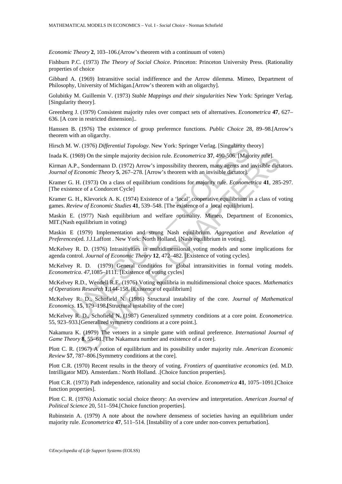*Economic Theory* **2**, 103–106.(Arrow's theorem with a continuum of voters)

Fishburn P.C. (1973) *The Theory of Social Choice*. Princeton: Princeton University Press. (Rationality properties of choice

Gibbard A. (1969) Intransitive social indifference and the Arrow dilemma. Mimeo, Department of Philosophy, University of Michigan.[Arrow's theorem with an oligarchy].

Golubitky M. Guillemin V. (1973) *Stable Mappings and their singularities* New York: Springer Verlag. [Singularity theory].

Greenberg J. (1979) Consistent majority rules over compact sets of alternatives. *Econometrica* **47**, 627– 636. [A core in restricted dimension]..

Hanssen B. (1976) The existence of group preference functions. *Public Choice* 28, 89–98.[Arrow's theorem with an oligarchy.

Hirsch M. W. (1976) *Differential Topology*. New York: Springer Verlag. [Singularity theory]

Inada K. (1969) On the simple majority decision rule. *Econometrica* **37**, 490-506. [Majority rule].

Kirman A.P., Sondermann D. (1972) Arrow's impossibility theorem, many agents and invisible dictators. *Journal of Economic Theory* **5**, 267–278. [Arrow's theorem with an invisible dictator].

Kramer G. H. (1973) On a class of equilibrium conditions for majority rule. *Econometrica* **41**, 285-297. [The existence of a Condorcet Cycle]

I. W. (1976) *Differential Topology*. New York: Springer Verlag. [Singularity th<br>(1969) On the simple majority decision rule. *Econometrica* 37, 490-506. [Majo<br>
A.P., Sondermann D. (1972) Arrow's impossibility theorem, ma 59) On the simple majority decision rule. *Econometrica* **37**, 490-506. [Majority rule].<br>
Sondermann D. (1972) Arrow's impossibility theorem, many agents and invisible dictionamic Theory **5**, 267–278. [Arrow's theorem wit Kramer G. H., Klevorick A. K. (1974) Existence of a 'local' cooperative equilibrium in a class of voting games. *Review of Economic Studies* **41**, 539–548. [The existence of a local equilibrium].

Maskin E. (1977) Nash equilibrium and welfare optimality. Mimeo, Department of Economics, MIT.(Nash equilibrium in voting)

Maskin E (1979) Implementation and strong Nash equilibrium. *Aggregation and Revelation of Preferences*(ed. J.J.Laffont . New York: North Holland, [Nash equilibrium in voting].

McKelvey R. D. (1976) Intrasitivities in multidimensional voting models and some implications for agenda control. *Journal of Economic Theory* **12**, 472–482. [Existence of voting cycles].

McKelvey R. D. (1979) General conditions for global intransitivities in formal voting models. *Econometrica*. *47*,1085–1111. [Existence of voting cycles]

McKelvey R.D., Wendell R.E. (1976) Voting equilibria in multidimensional choice spaces. *Mathematics of Operations Research* **1**,144-158. [Existence of equilibrium]

McKelvey R. D., Schofield N. (1986) Structural instability of the core. *Journal of Mathematical Economics*. **15**, 179–198**.[**Structural instability of the core]

McKelvey R. D., Schofield N. (1987) Generalized symmetry conditions at a core point. *Econometrica.* 55, 923–933.[Generalized symmetry conditions at a core point.].

Nakamura K. (1979) The vetoers in a simple game with ordinal preference. *International Journal of Game Theory* **8**, 55–61.[The Nakamura number and existence of a core].

Plott C. R. (1967) A notion of equilibrium and its possibility under majority rule. *American Economic Review* **57**, 787–806.[Symmetry conditions at the core].

Plott C.R. (1970) Recent results in the theory of voting. *Frontiers of quantitative economics* (ed. M.D. Intrilligator MD). Amsterdam.: North Holland. .[Choice function properties].

Plott C.R. (1973) Path independence, rationality and social choice. *Econometrica* **41**, 1075–1091.[Choice function properties].

Plott C. R. (1976) Axiomatic social choice theory: An overview and interpretation. *American Journal of Political Science* 20, 511–594.[Choice function properties].

Rubinstein A. (1979) A note about the nowhere denseness of societies having an equilibrium under majority rule. *Econometrica* **47**, 511–514. [Instability of a core under non-convex perturbation].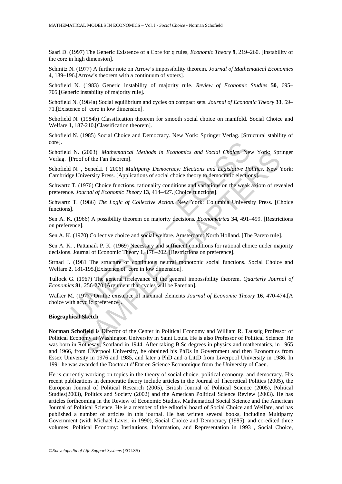Saari D. (1997) The Generic Existence of a Core for q rules, *Economic Theory* **9**, 219–260. [Instability of the core in high dimension].

Schmitz N. (1977) A further note on Arrow's impossibility theorem. *Journal of Mathematical Economics* **4**, 189–196.[Arrow's theorem with a continuum of voters].

Schofield N. (1983) Generic instability of majority rule. *Review of Economic Studies* **50**, 695– 705.[Generic instability of majority rule].

Schofield N. (1984a) Social equilibrium and cycles on compact sets. *Journal of Economic Theory* **33**, 59– 71.[Existence of core in low dimension].

Schofield N. (1984b) Classification theorem for smooth social choice on manifold. Social Choice and Welfare.**1,** 187-210.[Classification theorem].

Schofield N. (1985) Social Choice and Democracy. New York: Springer Verlag. [Structural stability of core].

Schofield N. (2003). *Mathematical Methods in Economics and Social Choice*. New York: Springer Verlag. .[Proof of the Fan theorem].

1 N. (2003). *Mathematical Methods in Economics and Social Choice*. Net Proof of the Fan theorem].<br>
N. , Sened.I. (2006) *Multiparty Democracy: Elections and Legislative Poel* University Press. [Applications of social choi Schofield N. , Sened.I. ( 2006) *Multiparty Democracy: Elections and Legislative Politics*. New York: Cambridge University Press. [Applications of social choice theory to democratic elections].

Schwartz T. (1976) Choice functions, rationality conditions and variations on the weak axiom of revealed preference*. Journal of Economic Theory* **13**, 414–427.[Choice functions].

Schwartz T. (1986) *The Logic of Collective Action.* New York: Columbia University Press. [Choice functions].

Sen A. K. (1966) A possibility theorem on majority decisions. *Econometrica* **34**, 491–499. [Restrictions on preference].

Sen A. K. (1970) Collective choice and social welfare. Amsterdam: North Holland. [The Pareto rule].

Sen A. K. , Pattanaik P. K. (1969) Necessary and sufficient conditions for rational choice under majority decisions. Journal of Economic Theory **1**, 178–202. [Restrictions on preference].

Strnad J. (1981 The structure of continuous neutral monotonic social functions. Social Choice and Welfare **2**, 181-195.[Existence of core in low dimension].

Tullock G. (1967) The general irrelevance of the general impossibility theorem. *Quarterly Journal of Economics* **81**, 256-270.[Argument that cycles will be Paretian].

Walker M. (1977) On the existence of maximal elements *Journal of Economic Theory* **16**, 470-474.[A choice with acyclic preference].

### **Biographical Sketch**

(2003). *Mathematical Methods in Economics and Social Choice*. New York: Spr<br>
of of the Fan theorem].<br>
Sened.I. (2006) *Multiparty Democracy: Elections and Legislative Politics*. New York: Spr<br>
inversity Press. [Applicati **Norman Schofield** is Director of the Center in Political Economy and William R. Taussig Professor of Political Economy at Washington University in Saint Louis. He is also Professor of Political Science. He was born in Rothesay, Scotland in 1944. After taking B.Sc degrees in physics and mathematics, in 1965 and 1966, from Liverpool University, he obtained his PhDs in Government and then Economics from Essex University in 1976 and 1985, and later a PhD and a LittD from Liverpool University in 1986. In 1991 he was awarded the Doctorat d'Etat en Science Economique from the University of Caen.

He is currently working on topics in the theory of social choice, political economy, and democracy. His recent publications in democratic theory include articles in the Journal of Theoretical Politics (2005), the European Journal of Political Research (2005), British Journal of Political Science (2005), Political Studies(2003), Politics and Society (2002) and the American Political Science Review (2003). He has articles forthcoming in the Review of Economic Studies, Mathematical Social Science and the American Journal of Political Science. He is a member of the editorial board of Social Choice and Welfare, and has published a number of articles in this journal. He has written several books, including Multiparty Government (with Michael Laver, in 1990), Social Choice and Democracy (1985), and co-edited three volumes: Political Economy: Institutions, Information, and Representation in 1993 , Social Choice,